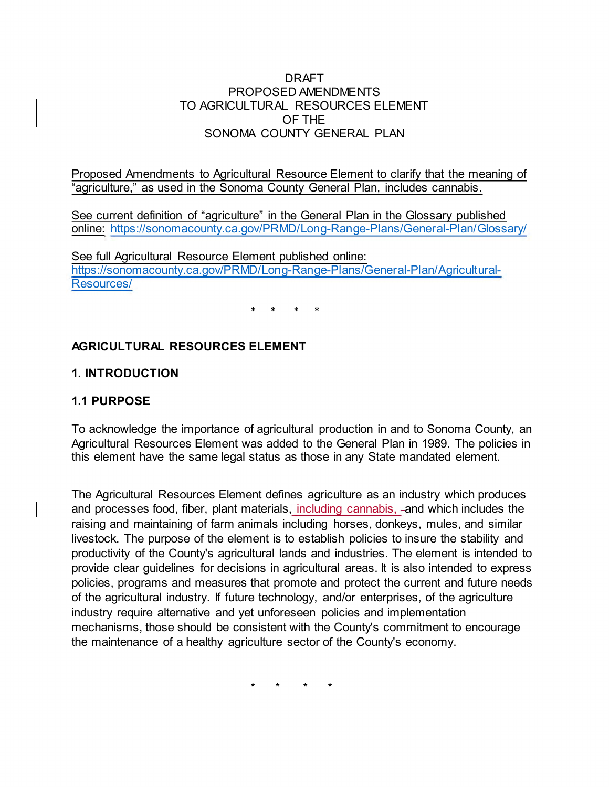### DRAFT PROPOSED AMENDMENTS TO AGRICULTURAL RESOURCES ELEMENT OF THE SONOMA COUNTY GENERAL PLAN

Proposed Amendments to Agricultural Resource Element to clarify that the meaning of "agriculture," as used in the Sonoma County General Plan, includes cannabis.

See current definition of "agriculture" in the General Plan in the Glossary published online: <https://sonomacounty.ca.gov/PRMD/Long-Range-Plans/General-Plan/Glossary/>

See full Agricultural Resource Element published online: [https://sonomacounty.ca.gov/PRMD/Long-Range-Plans/General-Plan/Agricultural-](https://sonomacounty.ca.gov/PRMD/Long-Range-Plans/General-Plan/Agricultural-Resources/)[Resources/](https://sonomacounty.ca.gov/PRMD/Long-Range-Plans/General-Plan/Agricultural-Resources/) 

\* \* \* \*

# **AGRICULTURAL RESOURCES ELEMENT**

# **1. INTRODUCTION**

## **1.1 PURPOSE**

To acknowledge the importance of agricultural production in and to Sonoma County, an Agricultural Resources Element was added to the General Plan in 1989. The policies in this element have the same legal status as those in any State mandated element.

The Agricultural Resources Element defines agriculture as an industry which produces and processes food, fiber, plant materials, including cannabis, -and which includes the raising and maintaining of farm animals including horses, donkeys, mules, and similar livestock. The purpose of the element is to establish policies to insure the stability and productivity of the County's agricultural lands and industries. The element is intended to provide clear guidelines for decisions in agricultural areas. It is also intended to express policies, programs and measures that promote and protect the current and future needs of the agricultural industry. If future technology, and/or enterprises, of the agriculture industry require alternative and yet unforeseen policies and implementation mechanisms, those should be consistent with the County's commitment to encourage the maintenance of a healthy agriculture sector of the County's economy.

\* \* \* \*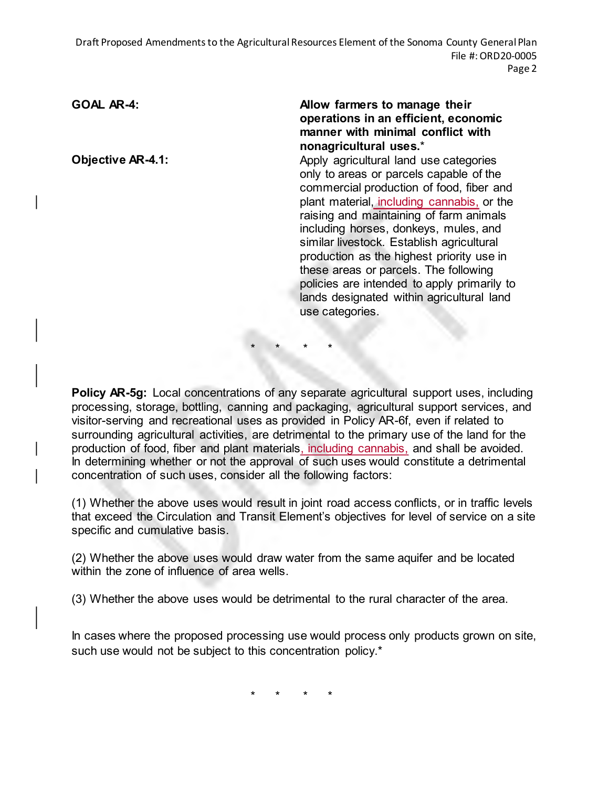Draft Proposed Amendments to the Agricultural Resources Element of the Sonoma County General Plan File #: ORD20-0005 Page 2

#### GOAL AR-4: **Allow farmers to manage their Allow farmers to manage their operations in an efficient, economic manner with minimal conflict with nonagricultural uses.**\*

**Objective AR-4.1: Apply agricultural land use categories** only to areas or parcels capable of the commercial production of food, fiber and plant material, including cannabis, or the raising and maintaining of farm animals including horses, donkeys, mules, and similar livestock. Establish agricultural production as the highest priority use in these areas or parcels. The following policies are intended to apply primarily to lands designated within agricultural land use categories.

**Policy AR-5g:** Local concentrations of any separate agricultural support uses, including processing, storage, bottling, canning and packaging, agricultural support services, and visitor-serving and recreational uses as provided in Policy AR-6f, even if related to surrounding agricultural activities, are detrimental to the primary use of the land for the production of food, fiber and plant materials, including cannabis, and shall be avoided. In determining whether or not the approval of such uses would constitute a detrimental concentration of such uses, consider all the following factors:

\* \* \* \*

(1) Whether the above uses would result in joint road access conflicts, or in traffic levels that exceed the Circulation and Transit Element's objectives for level of service on a site specific and cumulative basis.

(2) Whether the above uses would draw water from the same aquifer and be located within the zone of influence of area wells.

(3) Whether the above uses would be detrimental to the rural character of the area.

In cases where the proposed processing use would process only products grown on site, such use would not be subject to this concentration policy.<sup>\*</sup>

\* \* \* \*